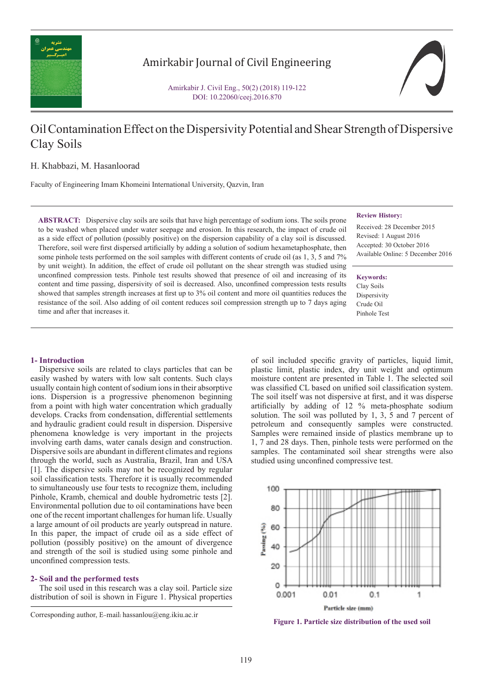

# Amirkabir Journal of Civil Engineering

Amirkabir J. Civil Eng., 50(2) (2018) 119-122 DOI: 10.22060/ceej.2016.870

# Oil Contamination Effect on the Dispersivity Potential and Shear Strength of Dispersive Clay Soils

# H. Khabbazi, M. Hasanloorad

Faculty of Engineering Imam Khomeini International University, Qazvin, Iran

**ABSTRACT:** Dispersive clay soils are soils that have high percentage of sodium ions. The soils prone to be washed when placed under water seepage and erosion. In this research, the impact of crude oil as a side effect of pollution (possibly positive) on the dispersion capability of a clay soil is discussed. Therefore, soil were first dispersed artificially by adding a solution of sodium hexametaphosphate, then some pinhole tests performed on the soil samples with different contents of crude oil (as 1, 3, 5 and 7%) by unit weight). In addition, the effect of crude oil pollutant on the shear strength was studied using unconfined compression tests. Pinhole test results showed that presence of oil and increasing of its content and time passing, dispersivity of soil is decreased. Also, unconfined compression tests results showed that samples strength increases at first up to 3% oil content and more oil quantities reduces the resistance of the soil. Also adding of oil content reduces soil compression strength up to 7 days aging time and after that increases it.

#### **Review History:**

Received: 28 December 2015 Revised: 1 August 2016 Accepted: 30 October 2016 Available Online: 5 December 2016

**Keywords:** Clay Soils **Dispersivity** Crude Oil Pinhole Test

# **1- Introduction**

 Dispersive soils are related to clays particles that can be easily washed by waters with low salt contents. Such clays usually contain high content of sodium ions in their absorptive ions. Dispersion is a progressive phenomenon beginning from a point with high water concentration which gradually develops. Cracks from condensation, differential settlements and hydraulic gradient could result in dispersion. Dispersive phenomena knowledge is very important in the projects involving earth dams, water canals design and construction. Dispersive soils are abundant in different climates and regions through the world, such as Australia, Brazil, Iran and USA [1]. The dispersive soils may not be recognized by regular soil classification tests. Therefore it is usually recommended to simultaneously use four tests to recognize them, including Pinhole, Kramb, chemical and double hydrometric tests [2]. Environmental pollution due to oil contaminations have been one of the recent important challenges for human life. Usually a large amount of oil products are yearly outspread in nature. In this paper, the impact of crude oil as a side effect of pollution (possibly positive) on the amount of divergence and strength of the soil is studied using some pinhole and unconfined compression tests.

### **2- Soil and the performed tests**

 The soil used in this research was a clay soil. Particle size distribution of soil is shown in Figure 1. Physical properties

of soil included specific gravity of particles, liquid limit, plastic limit, plastic index, dry unit weight and optimum moisture content are presented in Table 1. The selected soil was classified CL based on unified soil classification system. The soil itself was not dispersive at first, and it was disperse artificially by adding of 12 % meta-phosphate sodium solution. The soil was polluted by 1, 3, 5 and 7 percent of petroleum and consequently samples were constructed. Samples were remained inside of plastics membrane up to 1, 7 and 28 days. Then, pinhole tests were performed on the samples. The contaminated soil shear strengths were also studied using unconfined compressive test.



**Figure 1. Particle size distribution of the used soil**

Corresponding author, E-mail: hassanlou@eng.ikiu.ac.ir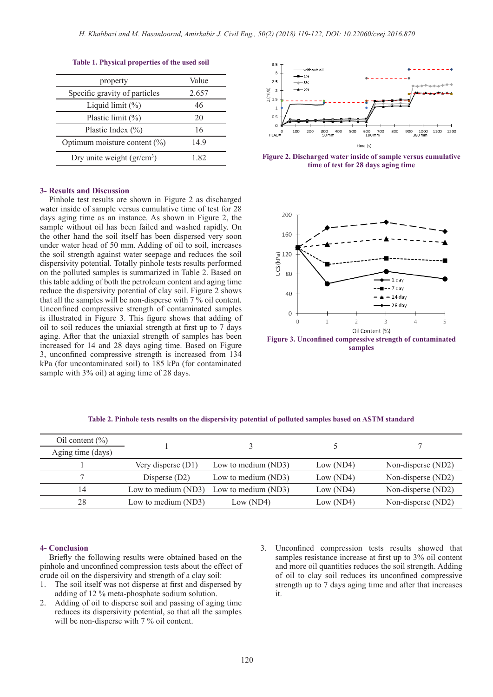| property                         | Value |
|----------------------------------|-------|
| Specific gravity of particles    | 2.657 |
| Liquid limit $(\%)$              | 46    |
| Plastic limit $(\%)$             | 20    |
| Plastic Index $(\% )$            | 16    |
| Optimum moisture content $(\% )$ | 149   |
| Dry unite weight $(gr/cm3)$      | 182   |
|                                  |       |

# **Table 1. Physical properties of the used soil**

## **3- Results and Discussion**

 Pinhole test results are shown in Figure 2 as discharged water inside of sample versus cumulative time of test for 28 days aging time as an instance. As shown in Figure 2, the sample without oil has been failed and washed rapidly. On the other hand the soil itself has been dispersed very soon under water head of 50 mm. Adding of oil to soil, increases the soil strength against water seepage and reduces the soil dispersivity potential. Totally pinhole tests results performed on the polluted samples is summarized in Table 2. Based on this table adding of both the petroleum content and aging time reduce the dispersivity potential of clay soil. Figure 2 shows that all the samples will be non-disperse with 7 % oil content. Unconfined compressive strength of contaminated samples is illustrated in Figure 3. This figure shows that adding of oil to soil reduces the uniaxial strength at first up to 7 days aging. After that the uniaxial strength of samples has been increased for 14 and 28 days aging time. Based on Figure 3, unconfined compressive strength is increased from 134 kPa (for uncontaminated soil) to 185 kPa (for contaminated sample with 3% oil) at aging time of 28 days.



) 1.82 **Figure 2. Discharged water inside of sample versus cumulative time of test for 28 days aging time**



**Figure 3. Unconfined compressive strength of contaminated samples**

| Oil content $(\% )$ |                      |                     |           |                    |
|---------------------|----------------------|---------------------|-----------|--------------------|
| Aging time (days)   |                      |                     |           |                    |
|                     | Very disperse $(D1)$ | Low to medium (ND3) | Low (ND4) | Non-disperse (ND2) |
|                     | Disperse $(D2)$      | Low to medium (ND3) | Low (ND4) | Non-disperse (ND2) |
| 14                  | Low to medium (ND3)  | Low to medium (ND3) | Low (ND4) | Non-disperse (ND2) |
| 28                  | Low to medium (ND3)  | Low (ND4)           | Low (ND4) | Non-disperse (ND2) |

### **Table 2. Pinhole tests results on the dispersivity potential of polluted samples based on ASTM standard**

# **4- Conclusion**

 Briefly the following results were obtained based on the pinhole and unconfined compression tests about the effect of crude oil on the dispersivity and strength of a clay soil:

- 1. The soil itself was not disperse at first and dispersed by adding of 12 % meta-phosphate sodium solution.
- 2. Adding of oil to disperse soil and passing of aging time reduces its dispersivity potential, so that all the samples will be non-disperse with 7 % oil content.
- 3. Unconfined compression tests results showed that samples resistance increase at first up to 3% oil content and more oil quantities reduces the soil strength. Adding of oil to clay soil reduces its unconfined compressive strength up to 7 days aging time and after that increases it.